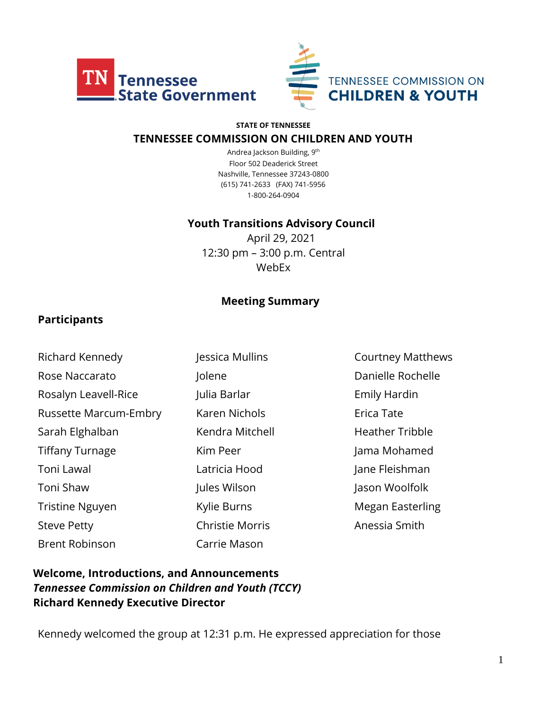



#### **STATE OF TENNESSEE**

#### **TENNESSEE COMMISSION ON CHILDREN AND YOUTH**

Andrea Jackson Building, 9th Floor 502 Deaderick Street Nashville, Tennessee 37243-0800 (615) 741-2633 (FAX) 741-5956 1-800-264-0904

#### **Youth Transitions Advisory Council**

April 29, 2021 12:30 pm – 3:00 p.m. Central WebEx

#### **Meeting Summary**

#### **Participants**

| Richard Kennedy              | Jessica Mullin        |
|------------------------------|-----------------------|
| Rose Naccarato               | Jolene                |
| Rosalyn Leavell-Rice         | Julia Barlar          |
| <b>Russette Marcum-Embry</b> | Karen Nichols         |
| Sarah Elghalban              | Kendra Mitch          |
| <b>Tiffany Turnage</b>       | Kim Peer              |
| Toni Lawal                   | Latricia Hood         |
| Toni Shaw                    | Jules Wilson          |
| <b>Tristine Nguyen</b>       | Kylie Burns           |
| <b>Steve Petty</b>           | <b>Christie Morri</b> |
| <b>Brent Robinson</b>        | Carrie Mason          |

Aullins **Courtney Matthews** Danielle Rochelle **Rosaly Leaveller** Emily Hardin Russette Marcum-Embry Karen Nichols Erica Tate Mitchell **Elghalban Elghar Heather Tribble** r **Turnage Kim Peer Jama Mohamed** Hood Jane Fleishman Toni Shaw Jules Jason Woolfolk This **Tries Indian Communist Control** Megan Easterling Morris **Anessia Smith** 

### **Welcome, Introductions, and Announcements** *Tennessee Commission on Children and Youth (TCCY)* **Richard Kennedy Executive Director**

Kennedy welcomed the group at 12:31 p.m. He expressed appreciation for those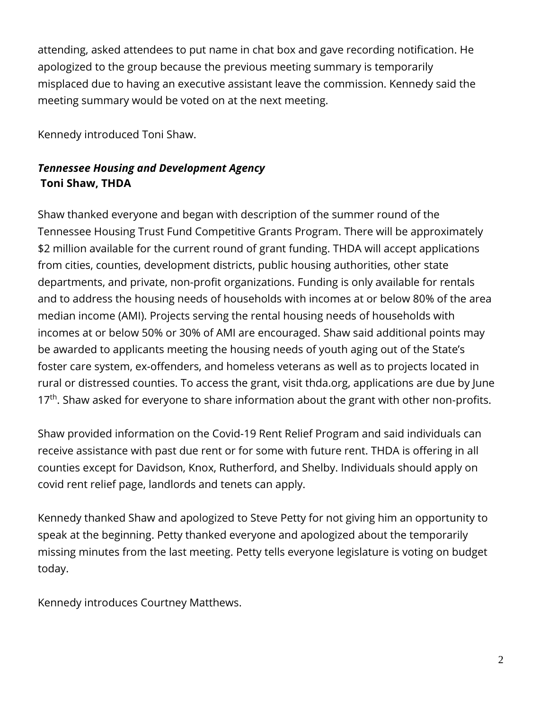attending, asked attendees to put name in chat box and gave recording notification. He apologized to the group because the previous meeting summary is temporarily misplaced due to having an executive assistant leave the commission. Kennedy said the meeting summary would be voted on at the next meeting.

Kennedy introduced Toni Shaw.

### *Tennessee Housing and Development Agency* **Toni Shaw, THDA**

Shaw thanked everyone and began with description of the summer round of the Tennessee Housing Trust Fund Competitive Grants Program. There will be approximately \$2 million available for the current round of grant funding. THDA will accept applications from cities, counties, development districts, public housing authorities, other state departments, and private, non-profit organizations. Funding is only available for rentals and to address the housing needs of households with incomes at or below 80% of the area median income (AMI). Projects serving the rental housing needs of households with incomes at or below 50% or 30% of AMI are encouraged. Shaw said additional points may be awarded to applicants meeting the housing needs of youth aging out of the State's foster care system, ex-offenders, and homeless veterans as well as to projects located in rural or distressed counties. To access the grant, visit thda.org, applications are due by June  $17<sup>th</sup>$ . Shaw asked for everyone to share information about the grant with other non-profits.

Shaw provided information on the Covid-19 Rent Relief Program and said individuals can receive assistance with past due rent or for some with future rent. THDA is offering in all counties except for Davidson, Knox, Rutherford, and Shelby. Individuals should apply on covid rent relief page, landlords and tenets can apply.

Kennedy thanked Shaw and apologized to Steve Petty for not giving him an opportunity to speak at the beginning. Petty thanked everyone and apologized about the temporarily missing minutes from the last meeting. Petty tells everyone legislature is voting on budget today.

Kennedy introduces Courtney Matthews.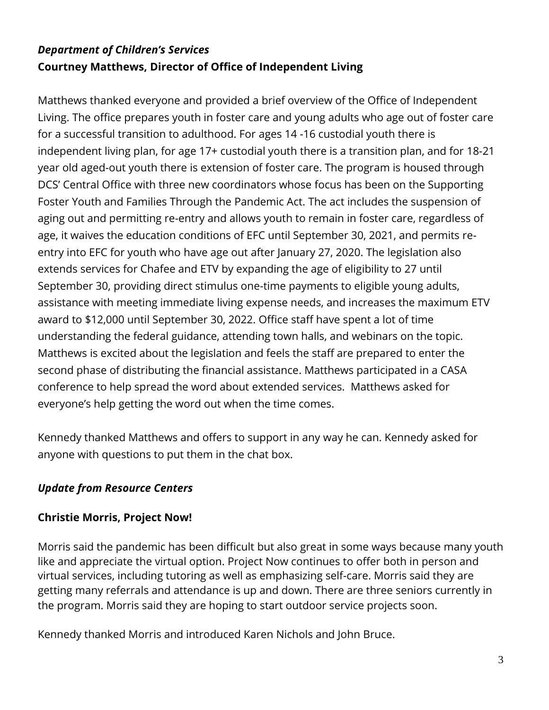# *Department of Children's Services* **Courtney Matthews, Director of Office of Independent Living**

Matthews thanked everyone and provided a brief overview of the Office of Independent Living. The office prepares youth in foster care and young adults who age out of foster care for a successful transition to adulthood. For ages 14 -16 custodial youth there is independent living plan, for age 17+ custodial youth there is a transition plan, and for 18-21 year old aged-out youth there is extension of foster care. The program is housed through DCS' Central Office with three new coordinators whose focus has been on the Supporting Foster Youth and Families Through the Pandemic Act. The act includes the suspension of aging out and permitting re-entry and allows youth to remain in foster care, regardless of age, it waives the education conditions of EFC until September 30, 2021, and permits reentry into EFC for youth who have age out after January 27, 2020. The legislation also extends services for Chafee and ETV by expanding the age of eligibility to 27 until September 30, providing direct stimulus one-time payments to eligible young adults, assistance with meeting immediate living expense needs, and increases the maximum ETV award to \$12,000 until September 30, 2022. Office staff have spent a lot of time understanding the federal guidance, attending town halls, and webinars on the topic. Matthews is excited about the legislation and feels the staff are prepared to enter the second phase of distributing the financial assistance. Matthews participated in a CASA conference to help spread the word about extended services. Matthews asked for everyone's help getting the word out when the time comes.

Kennedy thanked Matthews and offers to support in any way he can. Kennedy asked for anyone with questions to put them in the chat box.

### *Update from Resource Centers*

#### **Christie Morris, Project Now!**

Morris said the pandemic has been difficult but also great in some ways because many youth like and appreciate the virtual option. Project Now continues to offer both in person and virtual services, including tutoring as well as emphasizing self-care. Morris said they are getting many referrals and attendance is up and down. There are three seniors currently in the program. Morris said they are hoping to start outdoor service projects soon.

Kennedy thanked Morris and introduced Karen Nichols and John Bruce.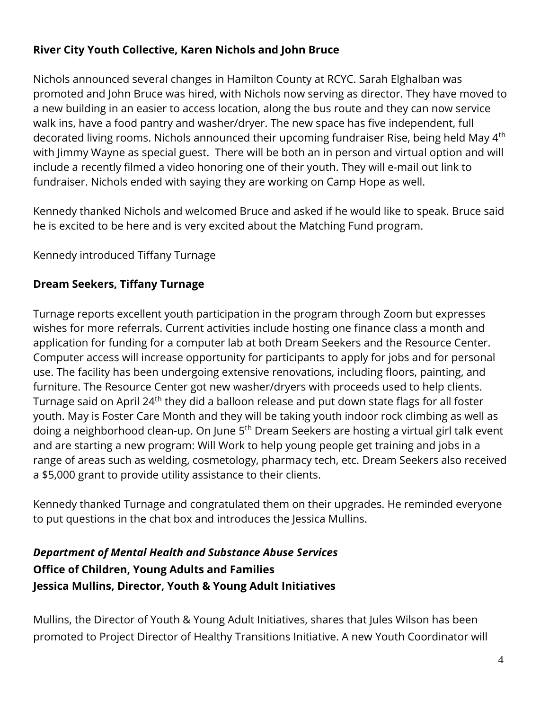## **River City Youth Collective, Karen Nichols and John Bruce**

Nichols announced several changes in Hamilton County at RCYC. Sarah Elghalban was promoted and John Bruce was hired, with Nichols now serving as director. They have moved to a new building in an easier to access location, along the bus route and they can now service walk ins, have a food pantry and washer/dryer. The new space has five independent, full decorated living rooms. Nichols announced their upcoming fundraiser Rise, being held May 4<sup>th</sup> with Jimmy Wayne as special guest. There will be both an in person and virtual option and will include a recently filmed a video honoring one of their youth. They will e-mail out link to fundraiser. Nichols ended with saying they are working on Camp Hope as well.

Kennedy thanked Nichols and welcomed Bruce and asked if he would like to speak. Bruce said he is excited to be here and is very excited about the Matching Fund program.

Kennedy introduced Tiffany Turnage

# **Dream Seekers, Tiffany Turnage**

Turnage reports excellent youth participation in the program through Zoom but expresses wishes for more referrals. Current activities include hosting one finance class a month and application for funding for a computer lab at both Dream Seekers and the Resource Center. Computer access will increase opportunity for participants to apply for jobs and for personal use. The facility has been undergoing extensive renovations, including floors, painting, and furniture. The Resource Center got new washer/dryers with proceeds used to help clients. Turnage said on April 24<sup>th</sup> they did a balloon release and put down state flags for all foster youth. May is Foster Care Month and they will be taking youth indoor rock climbing as well as doing a neighborhood clean-up. On June 5<sup>th</sup> Dream Seekers are hosting a virtual girl talk event and are starting a new program: Will Work to help young people get training and jobs in a range of areas such as welding, cosmetology, pharmacy tech, etc. Dream Seekers also received a \$5,000 grant to provide utility assistance to their clients.

Kennedy thanked Turnage and congratulated them on their upgrades. He reminded everyone to put questions in the chat box and introduces the Jessica Mullins.

# *Department of Mental Health and Substance Abuse Services*  **Office of Children, Young Adults and Families Jessica Mullins, Director, Youth & Young Adult Initiatives**

Mullins, the Director of Youth & Young Adult Initiatives, shares that Jules Wilson has been promoted to Project Director of Healthy Transitions Initiative. A new Youth Coordinator will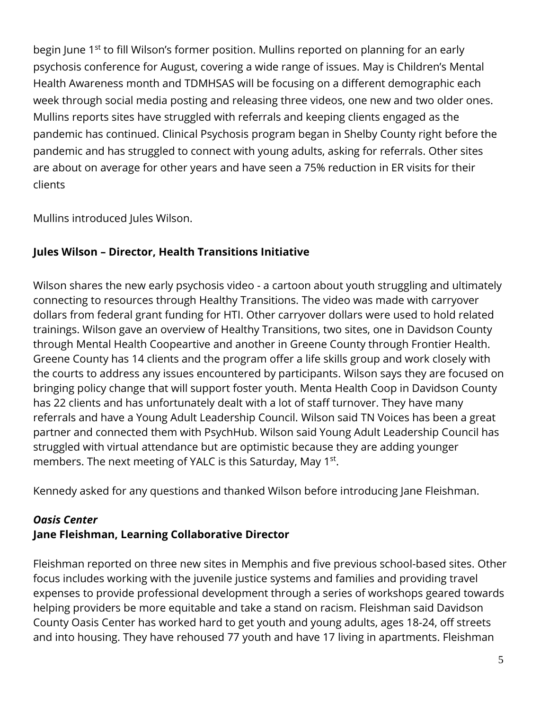begin June 1<sup>st</sup> to fill Wilson's former position. Mullins reported on planning for an early psychosis conference for August, covering a wide range of issues. May is Children's Mental Health Awareness month and TDMHSAS will be focusing on a different demographic each week through social media posting and releasing three videos, one new and two older ones. Mullins reports sites have struggled with referrals and keeping clients engaged as the pandemic has continued. Clinical Psychosis program began in Shelby County right before the pandemic and has struggled to connect with young adults, asking for referrals. Other sites are about on average for other years and have seen a 75% reduction in ER visits for their clients

Mullins introduced Jules Wilson.

## **Jules Wilson – Director, Health Transitions Initiative**

Wilson shares the new early psychosis video - a cartoon about youth struggling and ultimately connecting to resources through Healthy Transitions. The video was made with carryover dollars from federal grant funding for HTI. Other carryover dollars were used to hold related trainings. Wilson gave an overview of Healthy Transitions, two sites, one in Davidson County through Mental Health Coopeartive and another in Greene County through Frontier Health. Greene County has 14 clients and the program offer a life skills group and work closely with the courts to address any issues encountered by participants. Wilson says they are focused on bringing policy change that will support foster youth. Menta Health Coop in Davidson County has 22 clients and has unfortunately dealt with a lot of staff turnover. They have many referrals and have a Young Adult Leadership Council. Wilson said TN Voices has been a great partner and connected them with PsychHub. Wilson said Young Adult Leadership Council has struggled with virtual attendance but are optimistic because they are adding younger members. The next meeting of YALC is this Saturday, May 1<sup>st</sup>.

Kennedy asked for any questions and thanked Wilson before introducing Jane Fleishman.

## *Oasis Center* **Jane Fleishman, Learning Collaborative Director**

Fleishman reported on three new sites in Memphis and five previous school-based sites. Other focus includes working with the juvenile justice systems and families and providing travel expenses to provide professional development through a series of workshops geared towards helping providers be more equitable and take a stand on racism. Fleishman said Davidson County Oasis Center has worked hard to get youth and young adults, ages 18-24, off streets and into housing. They have rehoused 77 youth and have 17 living in apartments. Fleishman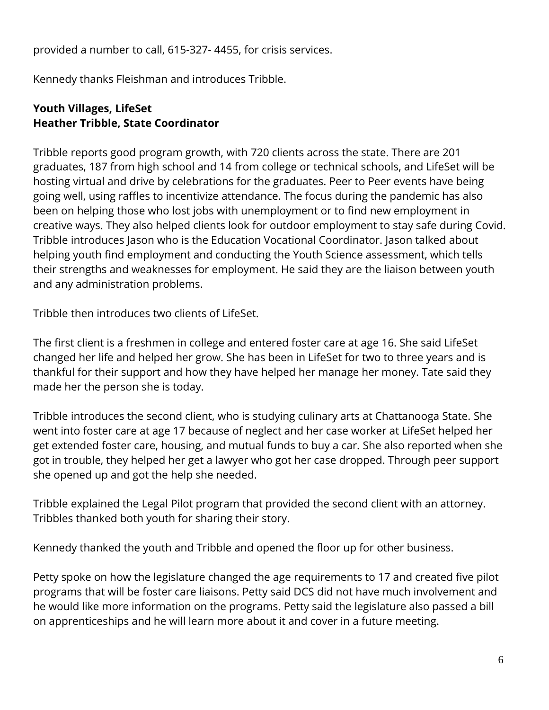provided a number to call, 615-327- 4455, for crisis services.

Kennedy thanks Fleishman and introduces Tribble.

### **Youth Villages, LifeSet Heather Tribble, State Coordinator**

Tribble reports good program growth, with 720 clients across the state. There are 201 graduates, 187 from high school and 14 from college or technical schools, and LifeSet will be hosting virtual and drive by celebrations for the graduates. Peer to Peer events have being going well, using raffles to incentivize attendance. The focus during the pandemic has also been on helping those who lost jobs with unemployment or to find new employment in creative ways. They also helped clients look for outdoor employment to stay safe during Covid. Tribble introduces Jason who is the Education Vocational Coordinator. Jason talked about helping youth find employment and conducting the Youth Science assessment, which tells their strengths and weaknesses for employment. He said they are the liaison between youth and any administration problems.

Tribble then introduces two clients of LifeSet.

The first client is a freshmen in college and entered foster care at age 16. She said LifeSet changed her life and helped her grow. She has been in LifeSet for two to three years and is thankful for their support and how they have helped her manage her money. Tate said they made her the person she is today.

Tribble introduces the second client, who is studying culinary arts at Chattanooga State. She went into foster care at age 17 because of neglect and her case worker at LifeSet helped her get extended foster care, housing, and mutual funds to buy a car. She also reported when she got in trouble, they helped her get a lawyer who got her case dropped. Through peer support she opened up and got the help she needed.

Tribble explained the Legal Pilot program that provided the second client with an attorney. Tribbles thanked both youth for sharing their story.

Kennedy thanked the youth and Tribble and opened the floor up for other business.

Petty spoke on how the legislature changed the age requirements to 17 and created five pilot programs that will be foster care liaisons. Petty said DCS did not have much involvement and he would like more information on the programs. Petty said the legislature also passed a bill on apprenticeships and he will learn more about it and cover in a future meeting.